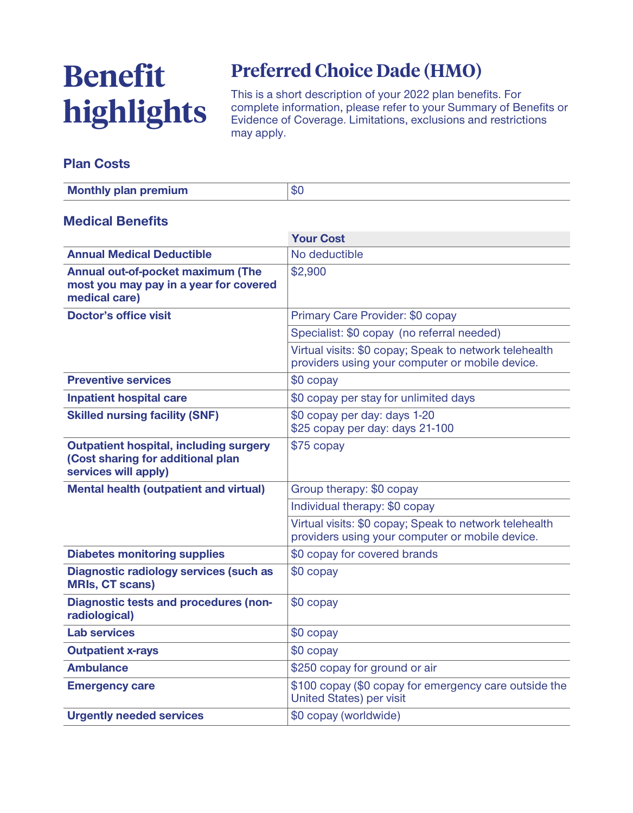# **Benefit highlights**

## **Preferred Choice Dade (HMO)**

**This is a short description of your 2022 plan benefits. For complete information, please refer to your Summary of Benefits or Evidence of Coverage. Limitations, exclusions and restrictions may apply.**

#### **Plan Costs**

| <b>Monthly plan premium</b> | \$0 |
|-----------------------------|-----|
|-----------------------------|-----|

#### **Medical Benefits**

|                                                                                                            | <b>Your Cost</b>                                                                                          |  |
|------------------------------------------------------------------------------------------------------------|-----------------------------------------------------------------------------------------------------------|--|
| <b>Annual Medical Deductible</b>                                                                           | No deductible                                                                                             |  |
| Annual out-of-pocket maximum (The<br>most you may pay in a year for covered<br>medical care)               | \$2,900                                                                                                   |  |
| <b>Doctor's office visit</b>                                                                               | Primary Care Provider: \$0 copay                                                                          |  |
|                                                                                                            | Specialist: \$0 copay (no referral needed)                                                                |  |
|                                                                                                            | Virtual visits: \$0 copay; Speak to network telehealth<br>providers using your computer or mobile device. |  |
| <b>Preventive services</b>                                                                                 | \$0 copay                                                                                                 |  |
| <b>Inpatient hospital care</b>                                                                             | \$0 copay per stay for unlimited days                                                                     |  |
| <b>Skilled nursing facility (SNF)</b>                                                                      | \$0 copay per day: days 1-20<br>\$25 copay per day: days 21-100                                           |  |
| <b>Outpatient hospital, including surgery</b><br>(Cost sharing for additional plan<br>services will apply) | \$75 copay                                                                                                |  |
| <b>Mental health (outpatient and virtual)</b>                                                              | Group therapy: \$0 copay                                                                                  |  |
|                                                                                                            | Individual therapy: \$0 copay                                                                             |  |
|                                                                                                            | Virtual visits: \$0 copay; Speak to network telehealth<br>providers using your computer or mobile device. |  |
| <b>Diabetes monitoring supplies</b>                                                                        | \$0 copay for covered brands                                                                              |  |
| <b>Diagnostic radiology services (such as</b><br><b>MRIs, CT scans)</b>                                    | \$0 copay                                                                                                 |  |
| <b>Diagnostic tests and procedures (non-</b><br>radiological)                                              | \$0 copay                                                                                                 |  |
| <b>Lab services</b>                                                                                        | \$0 copay                                                                                                 |  |
| <b>Outpatient x-rays</b>                                                                                   | \$0 copay                                                                                                 |  |
| <b>Ambulance</b>                                                                                           | \$250 copay for ground or air                                                                             |  |
| <b>Emergency care</b>                                                                                      | \$100 copay (\$0 copay for emergency care outside the<br><b>United States) per visit</b>                  |  |
| <b>Urgently needed services</b>                                                                            | \$0 copay (worldwide)                                                                                     |  |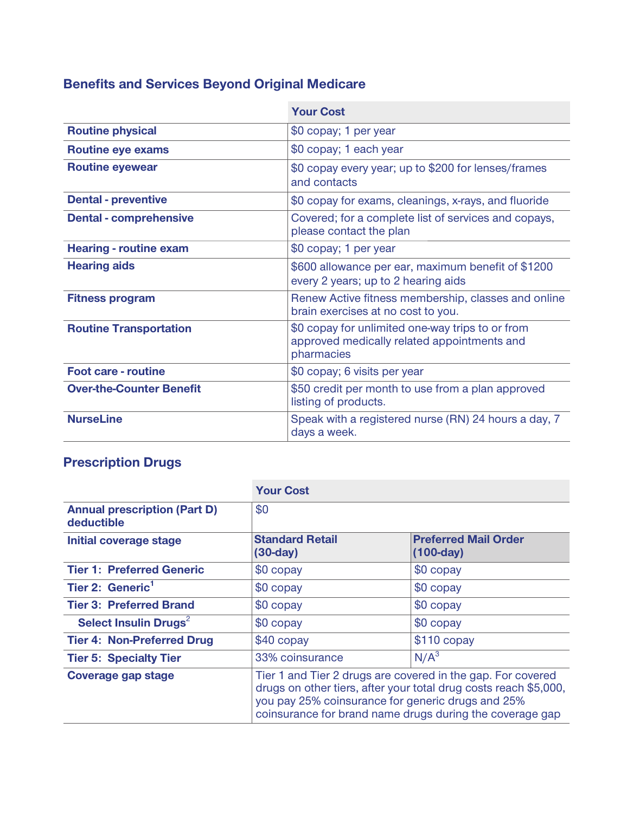## **Benefits and Services Beyond Original Medicare**

|                                 | <b>Your Cost</b>                                                                                              |  |
|---------------------------------|---------------------------------------------------------------------------------------------------------------|--|
| <b>Routine physical</b>         | \$0 copay; 1 per year                                                                                         |  |
| <b>Routine eye exams</b>        | \$0 copay; 1 each year                                                                                        |  |
| <b>Routine eyewear</b>          | \$0 copay every year; up to \$200 for lenses/frames<br>and contacts                                           |  |
| <b>Dental - preventive</b>      | \$0 copay for exams, cleanings, x-rays, and fluoride                                                          |  |
| <b>Dental - comprehensive</b>   | Covered; for a complete list of services and copays,<br>please contact the plan                               |  |
| <b>Hearing - routine exam</b>   | \$0 copay; 1 per year                                                                                         |  |
| <b>Hearing aids</b>             | \$600 allowance per ear, maximum benefit of \$1200<br>every 2 years; up to 2 hearing aids                     |  |
| <b>Fitness program</b>          | Renew Active fitness membership, classes and online<br>brain exercises at no cost to you.                     |  |
| <b>Routine Transportation</b>   | \$0 copay for unlimited one-way trips to or from<br>approved medically related appointments and<br>pharmacies |  |
| <b>Foot care - routine</b>      | \$0 copay; 6 visits per year                                                                                  |  |
| <b>Over-the-Counter Benefit</b> | \$50 credit per month to use from a plan approved<br>listing of products.                                     |  |
| <b>NurseLine</b>                | Speak with a registered nurse (RN) 24 hours a day, 7<br>days a week.                                          |  |

### **Prescription Drugs**

|                                                   | <b>Your Cost</b>                                                                                                                                                                                                                                 |                                            |
|---------------------------------------------------|--------------------------------------------------------------------------------------------------------------------------------------------------------------------------------------------------------------------------------------------------|--------------------------------------------|
| <b>Annual prescription (Part D)</b><br>deductible | \$0                                                                                                                                                                                                                                              |                                            |
| Initial coverage stage                            | <b>Standard Retail</b><br>$(30-day)$                                                                                                                                                                                                             | <b>Preferred Mail Order</b><br>$(100-day)$ |
| <b>Tier 1: Preferred Generic</b>                  | \$0 copay                                                                                                                                                                                                                                        | \$0 copay                                  |
| Tier 2: Generic <sup>1</sup>                      | \$0 copay                                                                                                                                                                                                                                        | \$0 copay                                  |
| <b>Tier 3: Preferred Brand</b>                    | \$0 copay                                                                                                                                                                                                                                        | \$0 copay                                  |
| Select Insulin Drugs <sup>2</sup>                 | \$0 copay                                                                                                                                                                                                                                        | $$0$ copay                                 |
| <b>Tier 4: Non-Preferred Drug</b>                 | $$40$ copay                                                                                                                                                                                                                                      | $$110$ copay                               |
| <b>Tier 5: Specialty Tier</b>                     | 33% coinsurance                                                                                                                                                                                                                                  | N/A <sup>3</sup>                           |
| Coverage gap stage                                | Tier 1 and Tier 2 drugs are covered in the gap. For covered<br>drugs on other tiers, after your total drug costs reach \$5,000,<br>you pay 25% coinsurance for generic drugs and 25%<br>coinsurance for brand name drugs during the coverage gap |                                            |